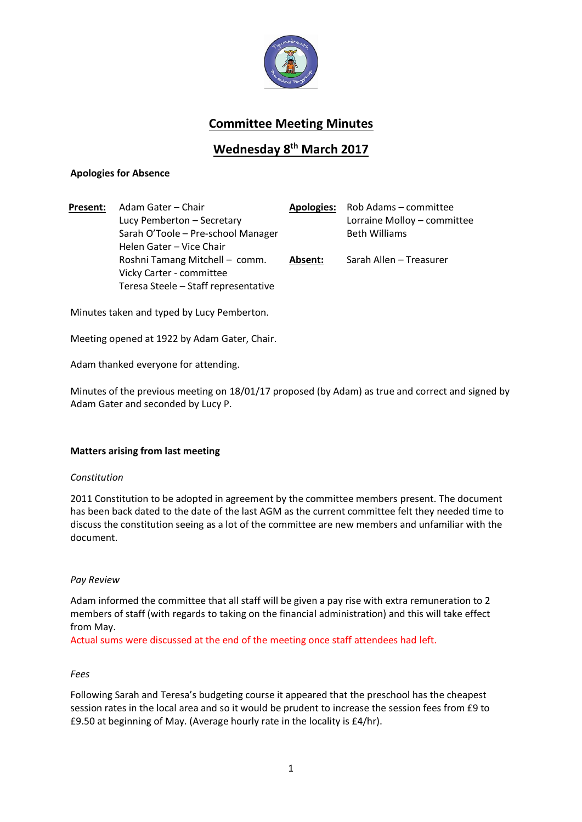

# **Committee Meeting Minutes**

# **Wednesday 8 th March 2017**

# **Apologies for Absence**

**Present:** Adam Gater – Chair **Apologies:** Rob Adams – committee Lucy Pemberton – Secretary Lorraine Molloy – committee Sarah O'Toole – Pre-school Manager Beth Williams Helen Gater – Vice Chair Roshni Tamang Mitchell – comm. **Absent:** Sarah Allen – Treasurer Vicky Carter - committee Teresa Steele – Staff representative

Minutes taken and typed by Lucy Pemberton.

Meeting opened at 1922 by Adam Gater, Chair.

Adam thanked everyone for attending.

Minutes of the previous meeting on 18/01/17 proposed (by Adam) as true and correct and signed by Adam Gater and seconded by Lucy P.

### **Matters arising from last meeting**

### *Constitution*

2011 Constitution to be adopted in agreement by the committee members present. The document has been back dated to the date of the last AGM as the current committee felt they needed time to discuss the constitution seeing as a lot of the committee are new members and unfamiliar with the document.

### *Pay Review*

Adam informed the committee that all staff will be given a pay rise with extra remuneration to 2 members of staff (with regards to taking on the financial administration) and this will take effect from May.

Actual sums were discussed at the end of the meeting once staff attendees had left.

### *Fees*

Following Sarah and Teresa's budgeting course it appeared that the preschool has the cheapest session rates in the local area and so it would be prudent to increase the session fees from £9 to £9.50 at beginning of May. (Average hourly rate in the locality is £4/hr).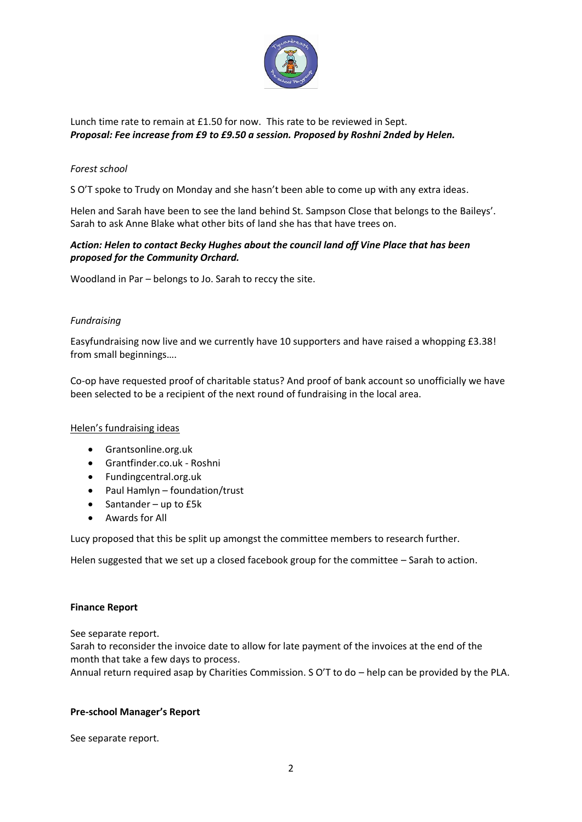

Lunch time rate to remain at £1.50 for now. This rate to be reviewed in Sept. *Proposal: Fee increase from £9 to £9.50 a session. Proposed by Roshni 2nded by Helen.*

# *Forest school*

S O'T spoke to Trudy on Monday and she hasn't been able to come up with any extra ideas.

Helen and Sarah have been to see the land behind St. Sampson Close that belongs to the Baileys'. Sarah to ask Anne Blake what other bits of land she has that have trees on.

# *Action: Helen to contact Becky Hughes about the council land off Vine Place that has been proposed for the Community Orchard.*

Woodland in Par – belongs to Jo. Sarah to reccy the site.

# *Fundraising*

Easyfundraising now live and we currently have 10 supporters and have raised a whopping £3.38! from small beginnings….

Co-op have requested proof of charitable status? And proof of bank account so unofficially we have been selected to be a recipient of the next round of fundraising in the local area.

### Helen's fundraising ideas

- Grantsonline.org.uk
- Grantfinder.co.uk Roshni
- Fundingcentral.org.uk
- Paul Hamlyn foundation/trust
- Santander up to £5k
- Awards for All

Lucy proposed that this be split up amongst the committee members to research further.

Helen suggested that we set up a closed facebook group for the committee – Sarah to action.

### **Finance Report**

### See separate report.

Sarah to reconsider the invoice date to allow for late payment of the invoices at the end of the month that take a few days to process.

Annual return required asap by Charities Commission. S O'T to do – help can be provided by the PLA.

### **Pre-school Manager's Report**

See separate report.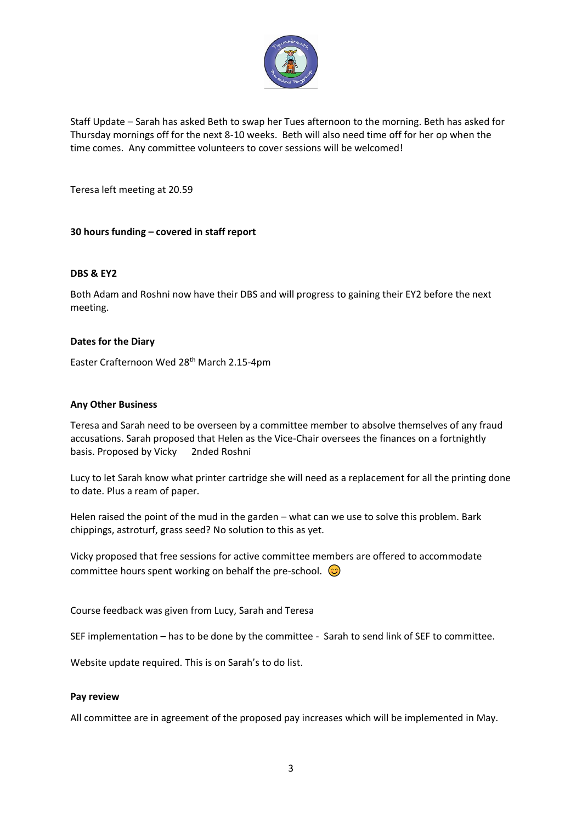

Staff Update – Sarah has asked Beth to swap her Tues afternoon to the morning. Beth has asked for Thursday mornings off for the next 8-10 weeks. Beth will also need time off for her op when the time comes. Any committee volunteers to cover sessions will be welcomed!

Teresa left meeting at 20.59

# **30 hours funding – covered in staff report**

## **DBS & EY2**

Both Adam and Roshni now have their DBS and will progress to gaining their EY2 before the next meeting.

### **Dates for the Diary**

Easter Crafternoon Wed 28th March 2.15-4pm

### **Any Other Business**

Teresa and Sarah need to be overseen by a committee member to absolve themselves of any fraud accusations. Sarah proposed that Helen as the Vice-Chair oversees the finances on a fortnightly basis. Proposed by Vicky 2nded Roshni

Lucy to let Sarah know what printer cartridge she will need as a replacement for all the printing done to date. Plus a ream of paper.

Helen raised the point of the mud in the garden – what can we use to solve this problem. Bark chippings, astroturf, grass seed? No solution to this as yet.

Vicky proposed that free sessions for active committee members are offered to accommodate committee hours spent working on behalf the pre-school.  $\odot$ 

Course feedback was given from Lucy, Sarah and Teresa

SEF implementation – has to be done by the committee - Sarah to send link of SEF to committee.

Website update required. This is on Sarah's to do list.

#### **Pay review**

All committee are in agreement of the proposed pay increases which will be implemented in May.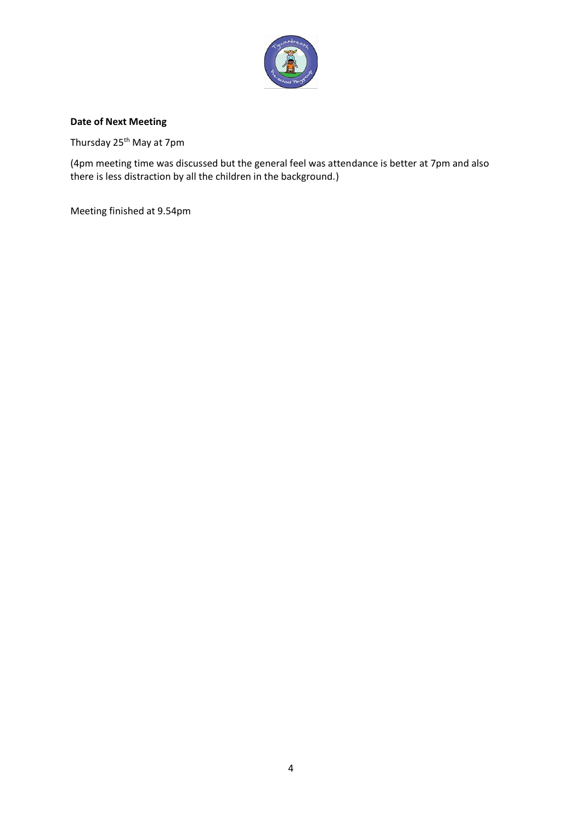

# **Date of Next Meeting**

Thursday 25<sup>th</sup> May at 7pm

(4pm meeting time was discussed but the general feel was attendance is better at 7pm and also there is less distraction by all the children in the background.)

Meeting finished at 9.54pm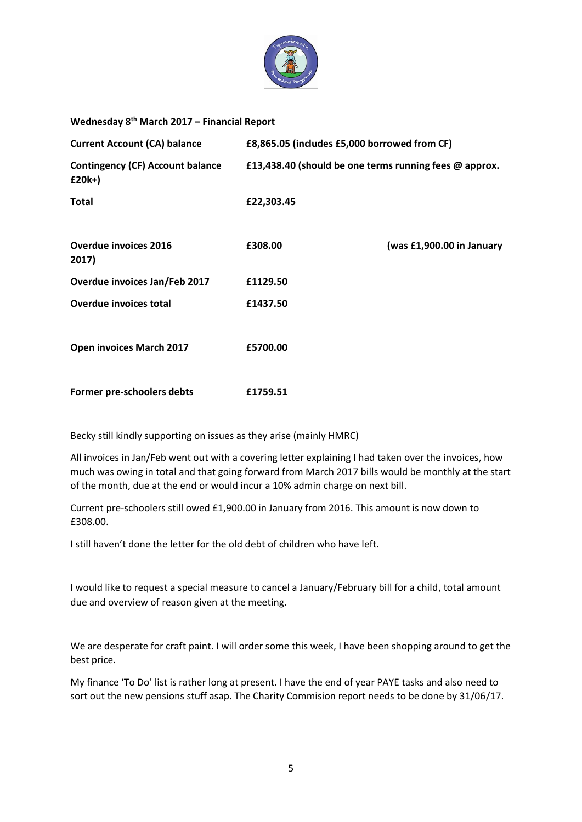

# **Wednesday 8th March 2017 – Financial Report**

| <b>Current Account (CA) balance</b>                 | £8,865.05 (includes £5,000 borrowed from CF)           |                           |  |
|-----------------------------------------------------|--------------------------------------------------------|---------------------------|--|
| <b>Contingency (CF) Account balance</b><br>$£20k+)$ | £13,438.40 (should be one terms running fees @ approx. |                           |  |
| <b>Total</b>                                        | £22,303.45                                             |                           |  |
| <b>Overdue invoices 2016</b><br>2017)               | £308.00                                                | (was £1,900.00 in January |  |
| <b>Overdue invoices Jan/Feb 2017</b>                | £1129.50                                               |                           |  |
| Overdue invoices total                              | £1437.50                                               |                           |  |
| <b>Open invoices March 2017</b>                     | £5700.00                                               |                           |  |
| Former pre-schoolers debts                          | £1759.51                                               |                           |  |

Becky still kindly supporting on issues as they arise (mainly HMRC)

All invoices in Jan/Feb went out with a covering letter explaining I had taken over the invoices, how much was owing in total and that going forward from March 2017 bills would be monthly at the start of the month, due at the end or would incur a 10% admin charge on next bill.

Current pre-schoolers still owed £1,900.00 in January from 2016. This amount is now down to £308.00.

I still haven't done the letter for the old debt of children who have left.

I would like to request a special measure to cancel a January/February bill for a child, total amount due and overview of reason given at the meeting.

We are desperate for craft paint. I will order some this week, I have been shopping around to get the best price.

My finance 'To Do' list is rather long at present. I have the end of year PAYE tasks and also need to sort out the new pensions stuff asap. The Charity Commision report needs to be done by 31/06/17.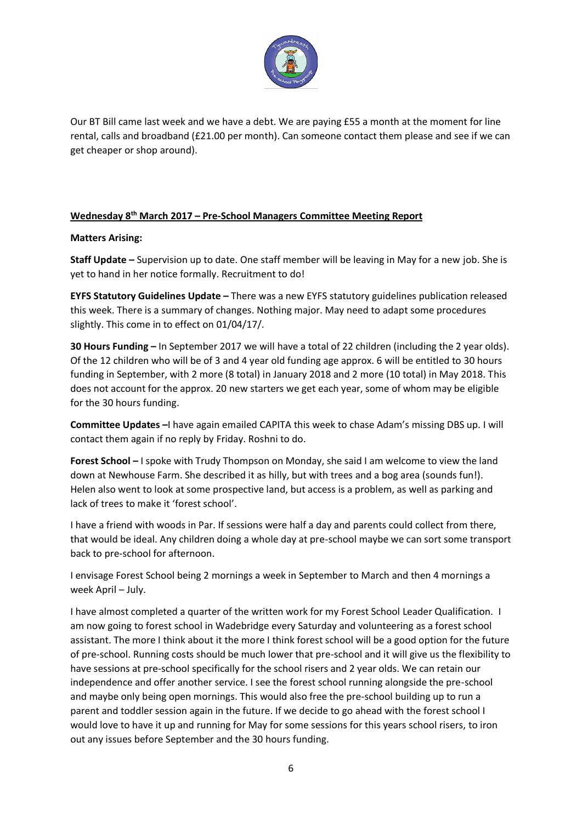

Our BT Bill came last week and we have a debt. We are paying £55 a month at the moment for line rental, calls and broadband (£21.00 per month). Can someone contact them please and see if we can get cheaper or shop around).

# **Wednesday 8th March 2017 – Pre-School Managers Committee Meeting Report**

# **Matters Arising:**

**Staff Update –** Supervision up to date. One staff member will be leaving in May for a new job. She is yet to hand in her notice formally. Recruitment to do!

**EYFS Statutory Guidelines Update –** There was a new EYFS statutory guidelines publication released this week. There is a summary of changes. Nothing major. May need to adapt some procedures slightly. This come in to effect on 01/04/17/.

**30 Hours Funding –** In September 2017 we will have a total of 22 children (including the 2 year olds). Of the 12 children who will be of 3 and 4 year old funding age approx. 6 will be entitled to 30 hours funding in September, with 2 more (8 total) in January 2018 and 2 more (10 total) in May 2018. This does not account for the approx. 20 new starters we get each year, some of whom may be eligible for the 30 hours funding.

**Committee Updates –**I have again emailed CAPITA this week to chase Adam's missing DBS up. I will contact them again if no reply by Friday. Roshni to do.

**Forest School –** I spoke with Trudy Thompson on Monday, she said I am welcome to view the land down at Newhouse Farm. She described it as hilly, but with trees and a bog area (sounds fun!). Helen also went to look at some prospective land, but access is a problem, as well as parking and lack of trees to make it 'forest school'.

I have a friend with woods in Par. If sessions were half a day and parents could collect from there, that would be ideal. Any children doing a whole day at pre-school maybe we can sort some transport back to pre-school for afternoon.

I envisage Forest School being 2 mornings a week in September to March and then 4 mornings a week April – July.

I have almost completed a quarter of the written work for my Forest School Leader Qualification. I am now going to forest school in Wadebridge every Saturday and volunteering as a forest school assistant. The more I think about it the more I think forest school will be a good option for the future of pre-school. Running costs should be much lower that pre-school and it will give us the flexibility to have sessions at pre-school specifically for the school risers and 2 year olds. We can retain our independence and offer another service. I see the forest school running alongside the pre-school and maybe only being open mornings. This would also free the pre-school building up to run a parent and toddler session again in the future. If we decide to go ahead with the forest school I would love to have it up and running for May for some sessions for this years school risers, to iron out any issues before September and the 30 hours funding.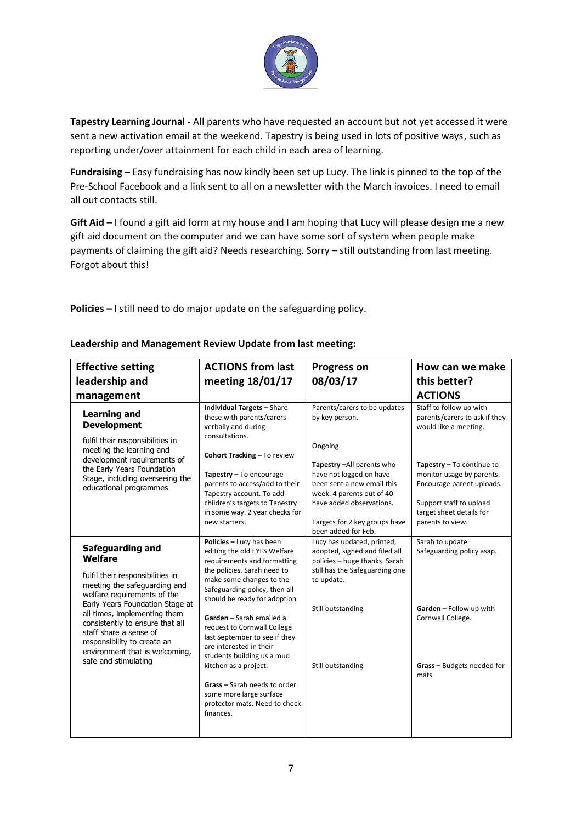

**Tapestry Learning Journal -** All parents who have requested an account but not yet accessed it were sent a new activation email at the weekend. Tapestry is being used in lots of positive ways, such as reporting under/over attainment for each child in each area of learning.

**Fundraising –** Easy fundraising has now kindly been set up Lucy. The link is pinned to the top of the Pre-School Facebook and a link sent to all on a newsletter with the March invoices. I need to email all out contacts still.

**Gift Aid –** I found a gift aid form at my house and I am hoping that Lucy will please design me a new gift aid document on the computer and we can have some sort of system when people make payments of claiming the gift aid? Needs researching. Sorry – still outstanding from last meeting. Forgot about this!

**Policies –** I still need to do major update on the safeguarding policy.

| <b>Effective setting</b>                                                                                                                                                                                                                                                                                                                                | <b>ACTIONS from last</b>                                                                                                                                                                                                                                                                                                                                                                                                                                                                                   | <b>Progress on</b>                                                                                                                                                                                 | How can we make                                                                                                                                                |
|---------------------------------------------------------------------------------------------------------------------------------------------------------------------------------------------------------------------------------------------------------------------------------------------------------------------------------------------------------|------------------------------------------------------------------------------------------------------------------------------------------------------------------------------------------------------------------------------------------------------------------------------------------------------------------------------------------------------------------------------------------------------------------------------------------------------------------------------------------------------------|----------------------------------------------------------------------------------------------------------------------------------------------------------------------------------------------------|----------------------------------------------------------------------------------------------------------------------------------------------------------------|
| leadership and                                                                                                                                                                                                                                                                                                                                          | meeting 18/01/17                                                                                                                                                                                                                                                                                                                                                                                                                                                                                           | 08/03/17                                                                                                                                                                                           | this better?                                                                                                                                                   |
|                                                                                                                                                                                                                                                                                                                                                         |                                                                                                                                                                                                                                                                                                                                                                                                                                                                                                            |                                                                                                                                                                                                    |                                                                                                                                                                |
| management                                                                                                                                                                                                                                                                                                                                              |                                                                                                                                                                                                                                                                                                                                                                                                                                                                                                            |                                                                                                                                                                                                    | <b>ACTIONS</b>                                                                                                                                                 |
| <b>Learning and</b><br><b>Development</b><br>fulfil their responsibilities in<br>meeting the learning and<br>development requirements of<br>the Early Years Foundation<br>Stage, including overseeing the<br>educational programmes                                                                                                                     | <b>Individual Targets - Share</b><br>these with parents/carers<br>verbally and during<br>consultations.<br>Cohort Tracking - To review                                                                                                                                                                                                                                                                                                                                                                     | Parents/carers to be updates<br>by key person.<br>Ongoing                                                                                                                                          | Staff to follow up with<br>parents/carers to ask if they<br>would like a meeting.                                                                              |
|                                                                                                                                                                                                                                                                                                                                                         | Tapestry - To encourage<br>parents to access/add to their<br>Tapestry account. To add<br>children's targets to Tapestry<br>in some way. 2 year checks for<br>new starters.                                                                                                                                                                                                                                                                                                                                 | Tapestry-All parents who<br>have not logged on have<br>been sent a new email this<br>week. 4 parents out of 40<br>have added observations.<br>Targets for 2 key groups have<br>been added for Feb. | Tapestry - To continue to<br>monitor usage by parents.<br>Encourage parent uploads.<br>Support staff to upload<br>target sheet details for<br>parents to view. |
| Safeguarding and<br>Welfare<br>fulfil their responsibilities in<br>meeting the safeguarding and<br>welfare requirements of the<br>Early Years Foundation Stage at<br>all times, implementing them<br>consistently to ensure that all<br>staff share a sense of<br>responsibility to create an<br>environment that is welcoming,<br>safe and stimulating | Policies - Lucy has been<br>editing the old EYFS Welfare<br>requirements and formatting<br>the policies. Sarah need to<br>make some changes to the<br>Safeguarding policy, then all<br>should be ready for adoption<br>Garden - Sarah emailed a<br>request to Cornwall College<br>last September to see if they<br>are interested in their<br>students building us a mud<br>kitchen as a project.<br>Grass - Sarah needs to order<br>some more large surface<br>protector mats. Need to check<br>finances. | Lucy has updated, printed,<br>adopted, signed and filed all<br>policies - huge thanks. Sarah<br>still has the Safeguarding one<br>to update.<br>Still outstanding<br>Still outstanding             | Sarah to update<br>Safeguarding policy asap.<br>Garden - Follow up with<br>Cornwall College.<br>Grass - Budgets needed for<br>mats                             |

#### **Leadership and Management Review Update from last meeting:**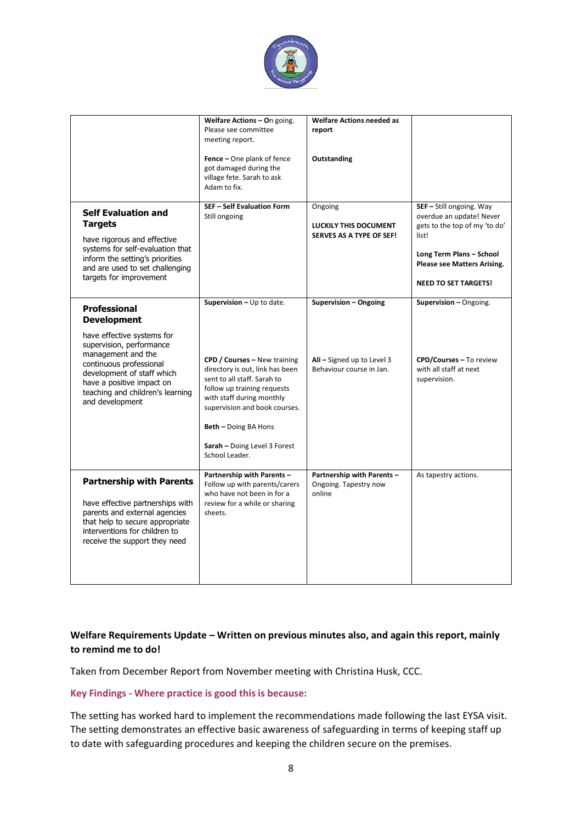

|                                                                                                                                                                                                                                                                        | Welfare Actions - On going.<br>Please see committee<br>meeting report.<br>Fence - One plank of fence<br>got damaged during the<br>village fete. Sarah to ask<br>Adam to fix.                                                                                                                                                             | <b>Welfare Actions needed as</b><br>report<br>Outstanding                                                    |                                                                                                                                                                                          |
|------------------------------------------------------------------------------------------------------------------------------------------------------------------------------------------------------------------------------------------------------------------------|------------------------------------------------------------------------------------------------------------------------------------------------------------------------------------------------------------------------------------------------------------------------------------------------------------------------------------------|--------------------------------------------------------------------------------------------------------------|------------------------------------------------------------------------------------------------------------------------------------------------------------------------------------------|
| <b>Self Evaluation and</b><br><b>Targets</b><br>have rigorous and effective<br>systems for self-evaluation that<br>inform the setting's priorities<br>and are used to set challenging<br>targets for improvement                                                       | <b>SEF-Self Evaluation Form</b><br>Still ongoing                                                                                                                                                                                                                                                                                         | Ongoing<br><b>LUCKILY THIS DOCUMENT</b><br><b>SERVES AS A TYPE OF SEF!</b>                                   | SEF - Still ongoing. Way<br>overdue an update! Never<br>gets to the top of my 'to do'<br>listl<br>Long Term Plans - School<br>Please see Matters Arising.<br><b>NEED TO SET TARGETS!</b> |
| <b>Professional</b><br><b>Development</b><br>have effective systems for<br>supervision, performance<br>management and the<br>continuous professional<br>development of staff which<br>have a positive impact on<br>teaching and children's learning<br>and development | Supervision $-$ Up to date.<br>CPD / Courses - New training<br>directory is out, link has been<br>sent to all staff. Sarah to<br>follow up training requests<br>with staff during monthly<br>supervision and book courses.<br><b>Beth - Doing BA Hons</b><br>Sarah - Doing Level 3 Forest<br>School Leader.<br>Partnership with Parents- | Supervision - Ongoing<br>Ali - Signed up to Level 3<br>Behaviour course in Jan.<br>Partnership with Parents- | Supervision - Ongoing.<br>CPD/Courses - To review<br>with all staff at next<br>supervision.<br>As tapestry actions.                                                                      |
| <b>Partnership with Parents</b><br>have effective partnerships with<br>parents and external agencies<br>that help to secure appropriate<br>interventions for children to<br>receive the support they need                                                              | Follow up with parents/carers<br>who have not been in for a<br>review for a while or sharing<br>sheets.                                                                                                                                                                                                                                  | Ongoing. Tapestry now<br>online                                                                              |                                                                                                                                                                                          |

# **Welfare Requirements Update – Written on previous minutes also, and again this report, mainly to remind me to do!**

Taken from December Report from November meeting with Christina Husk, CCC.

# **Key Findings - Where practice is good this is because:**

The setting has worked hard to implement the recommendations made following the last EYSA visit. The setting demonstrates an effective basic awareness of safeguarding in terms of keeping staff up to date with safeguarding procedures and keeping the children secure on the premises.